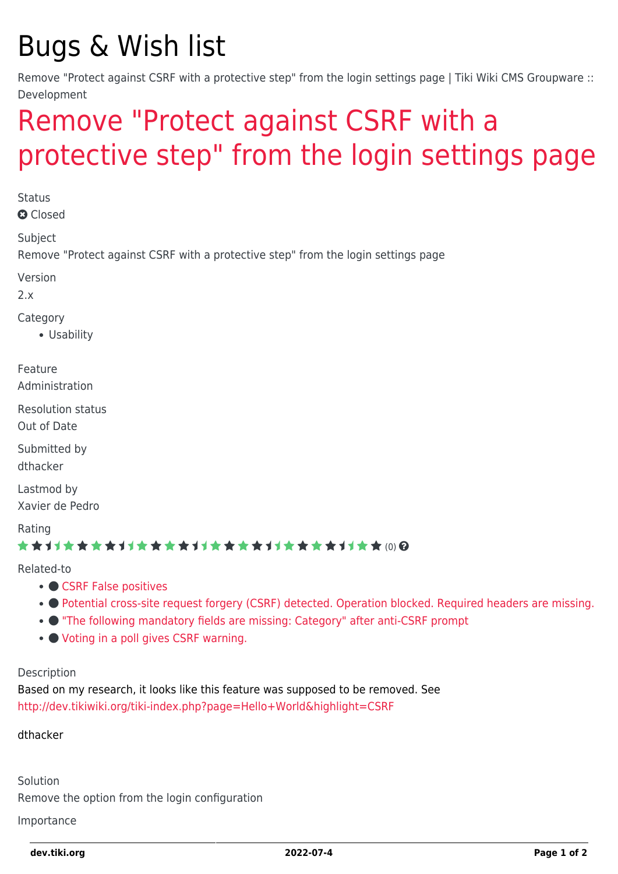# Bugs & Wish list

Remove "Protect against CSRF with a protective step" from the login settings page | Tiki Wiki CMS Groupware :: Development

## [Remove "Protect against CSRF with a](https://dev.tiki.org/item1095-Remove-Protect-against-CSRF-with-a-protective-step-from-the-login-settings-page) [protective step" from the login settings page](https://dev.tiki.org/item1095-Remove-Protect-against-CSRF-with-a-protective-step-from-the-login-settings-page)

**Status a** Closed Subject Remove "Protect against CSRF with a protective step" from the login settings page Version  $2x$ Category Usability Feature Administration Resolution status Out of Date Submitted by dthacker Lastmod by Xavier de Pedro Rating ★★11★★★★11★★★★11★★★★11★★★★11★★ @@

Related-to

- [CSRF False positives](https://dev.tiki.org/item7133-CSRF-False-positives)
- [Potential cross-site request forgery \(CSRF\) detected. Operation blocked. Required headers are missing.](https://dev.tiki.org/item7633-Potential-cross-site-request-forgery-CSRF-detected-Operation-blocked-Required-headers-are-missing)
- $\bullet$  ["The following mandatory fields are missing: Category" after anti-CSRF prompt](https://dev.tiki.org/item6926--The-following-mandatory-fields-are-missing-Category-after-anti-CSRF-prompt)
- [Voting in a poll gives CSRF warning.](https://dev.tiki.org/item7350-Voting-in-a-poll-gives-CSRF-warning)

#### Description

Based on my research, it looks like this feature was supposed to be removed. See <http://dev.tikiwiki.org/tiki-index.php?page=Hello+World&highlight=CSRF>

#### dthacker

Solution Remove the option from the login configuration

Importance